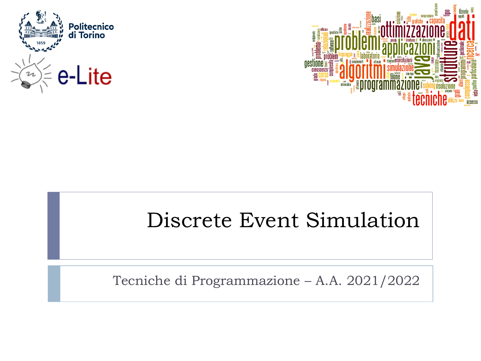



## Discrete Event Simulation

Tecniche di Programmazione – A.A. 2021/2022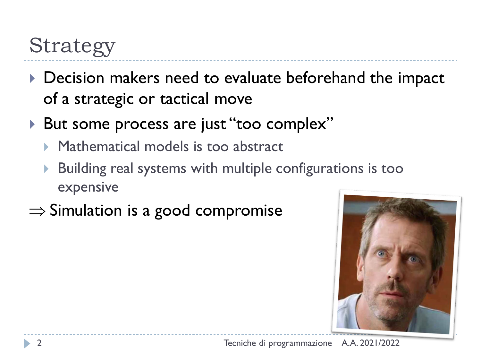## Strategy

- Decision makers need to evaluate beforehand the impact of a strategic or tactical move
- ▶ But some process are just "too complex"
	- ▶ Mathematical models is too abstract
	- Building real systems with multiple configurations is too expensive
- $\Rightarrow$  Simulation is a good compromise

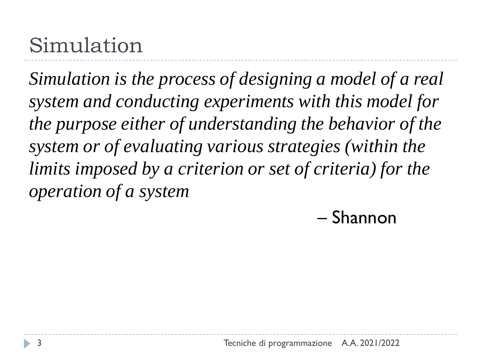## Simulation

*Simulation is the process of designing a model of a real system and conducting experiments with this model for the purpose either of understanding the behavior of the system or of evaluating various strategies (within the limits imposed by a criterion or set of criteria) for the operation of a system*

– Shannon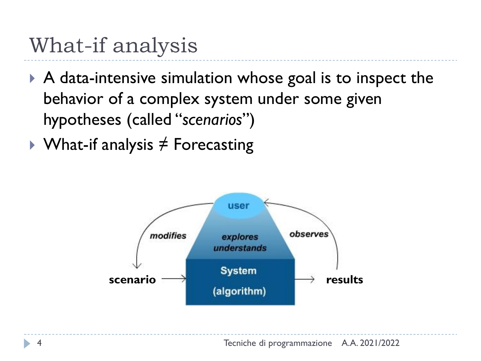## What-if analysis

- A data-intensive simulation whose goal is to inspect the behavior of a complex system under some given hypotheses (called "*scenarios*")
- $\rightarrow$  What-if analysis  $\neq$  Forecasting

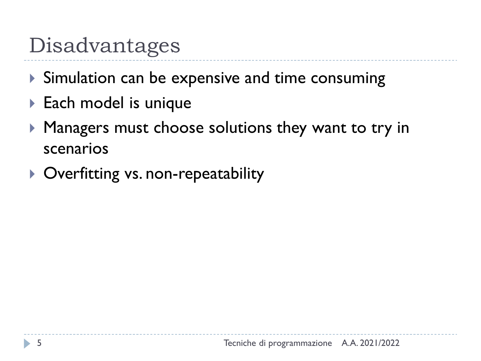## Disadvantages

- Simulation can be expensive and time consuming
- ▶ Each model is unique
- **Managers must choose solutions they want to try in** scenarios
- ▶ Overfitting vs. non-repeatability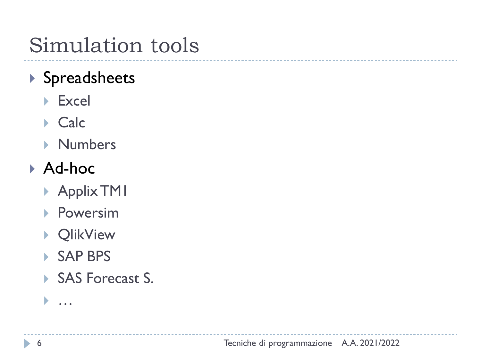## Simulation tools

## ▶ Spreadsheets

- ▶ Excel
- Calc
- **Numbers**

## Ad-hoc

- ▶ Applix TM1
- ▶ Powersim
- ▶ QlikView
- ▶ SAP BPS
- SAS Forecast S.

#### …

h,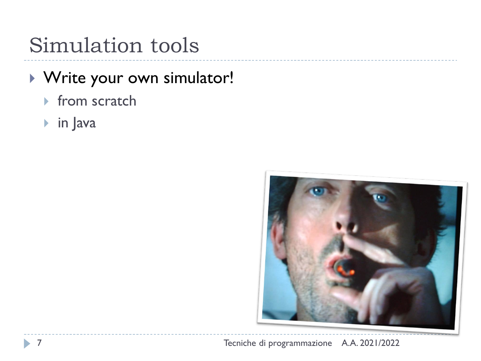## Simulation tools

### Write your own simulator!

- $\triangleright$  from scratch
- in Java

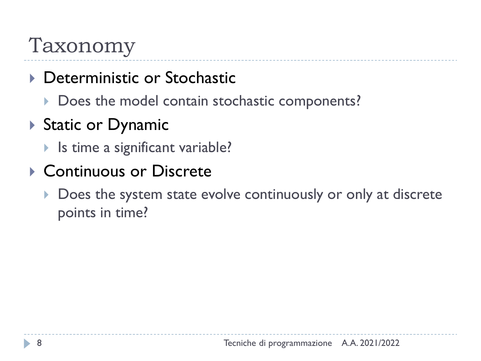## Taxonomy

- ▶ Deterministic or Stochastic
	- Does the model contain stochastic components?
- ▶ Static or Dynamic
	- ▶ Is time a significant variable?
- ▶ Continuous or Discrete
	- Does the system state evolve continuously or only at discrete points in time?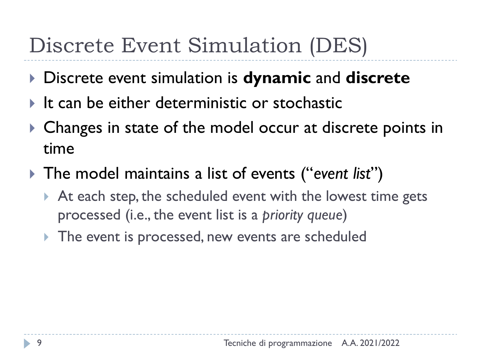- Discrete event simulation is **dynamic** and **discrete**
- $\blacktriangleright$  It can be either deterministic or stochastic
- ▶ Changes in state of the model occur at discrete points in time
- The model maintains a list of events ("*event list*")
	- At each step, the scheduled event with the lowest time gets processed (i.e., the event list is a *priority queue*)
	- The event is processed, new events are scheduled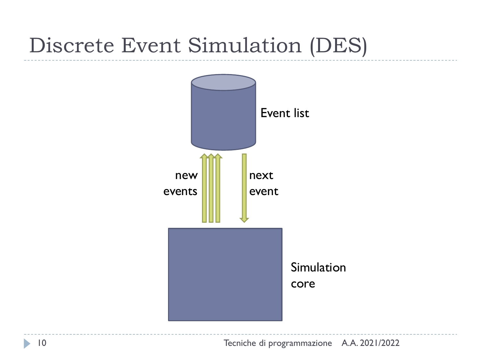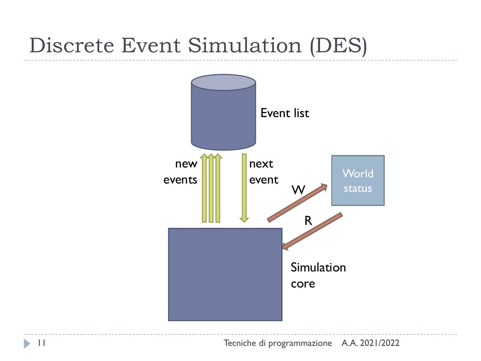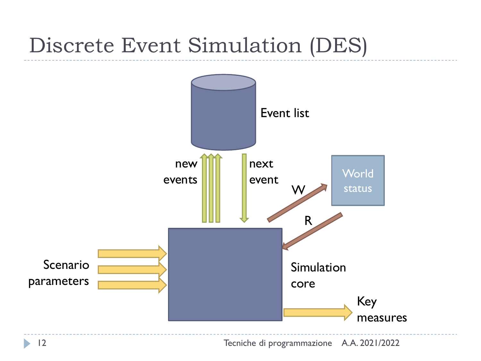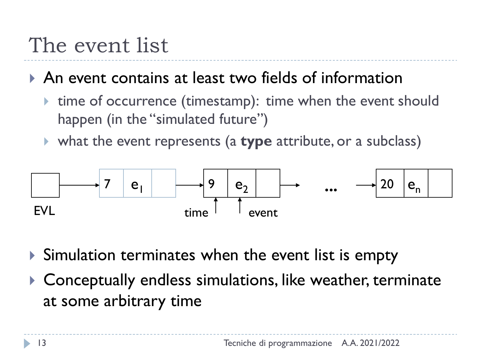## The event list

An event contains at least two fields of information

- ▶ time of occurrence (timestamp): time when the event should happen (in the "simulated future")
- what the event represents (a **type** attribute, or a subclass)



- Simulation terminates when the event list is empty
- Conceptually endless simulations, like weather, terminate at some arbitrary time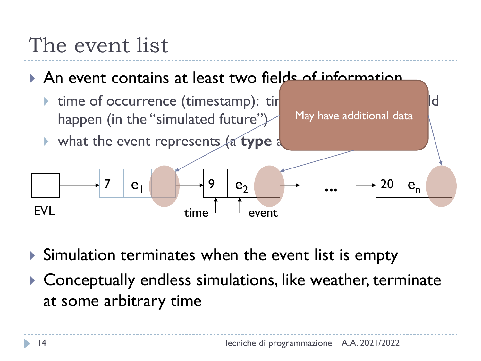## The event list

An event contains at least two fields of information

**time of occurrence (timestamp): tirque when the event should should should should show the event should show the event should show the event showld showld showld showld showld showld showld showld showld showld showld sho** happen (in the "simulated future") what the event represents (a **type** at  $e<sub>1</sub>$  $e<sub>2</sub>$  $e_{n}$ 7 9 **...** 20 May have additional data

EVL time event

- Simulation terminates when the event list is empty
- Conceptually endless simulations, like weather, terminate at some arbitrary time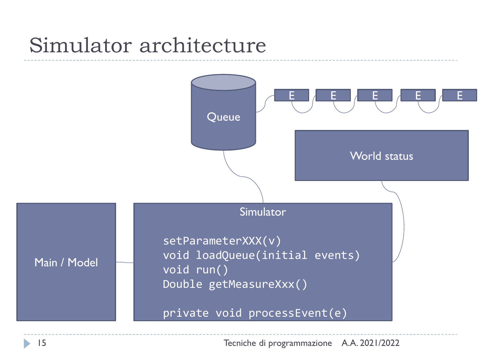## Simulator architecture

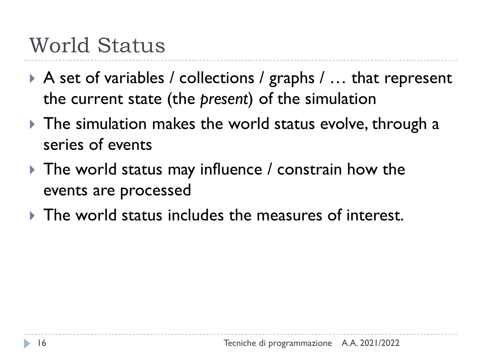## World Status

- ▶ A set of variables / collections / graphs / ... that represent the current state (the *present*) of the simulation
- The simulation makes the world status evolve, through a series of events
- ▶ The world status may influence / constrain how the events are processed
- $\triangleright$  The world status includes the measures of interest.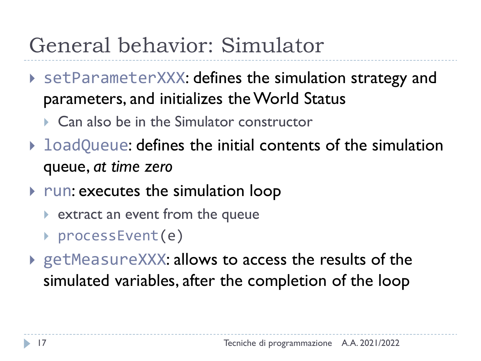## General behavior: Simulator

- setParameterXXX: defines the simulation strategy and parameters, and initializes the World Status
	- ▶ Can also be in the Simulator constructor
- **I** loadQueue: defines the initial contents of the simulation queue, *at time zero*
- $\triangleright$  run: executes the simulation loop
	- **EXTER 12 FORM 20 FIGHT FROM PROTE 10 FIGHT PROTE**
	- ▶ processEvent(e)
- ▶ getMeasureXXX: allows to access the results of the simulated variables, after the completion of the loop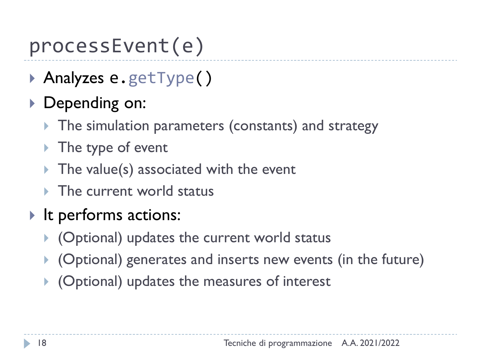## processEvent(e)

- ▶ Analyzes e.getType()
- ▶ Depending on:
	- The simulation parameters (constants) and strategy
	- ▶ The type of event
	- $\triangleright$  The value(s) associated with the event
	- $\triangleright$  The current world status
- It performs actions:
	- ▶ (Optional) updates the current world status
	- (Optional) generates and inserts new events (in the future)
	- (Optional) updates the measures of interest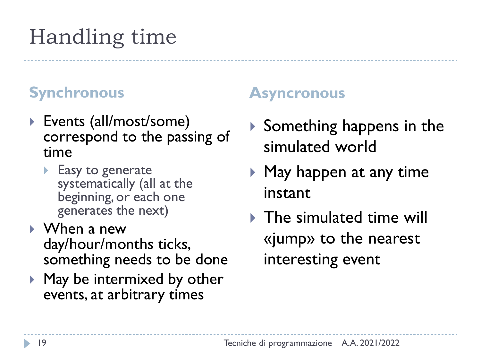# Handling time

- ▶ Events (all/most/some) correspond to the passing of time
	- **Easy to generate** systematically (all at the beginning, or each one generates the next)
- When a new day/hour/months ticks, something needs to be done
- ▶ May be intermixed by other events, at arbitrary times

#### **Synchronous Asyncronous**

- $\triangleright$  Something happens in the simulated world
- $\blacktriangleright$  May happen at any time instant
- $\triangleright$  The simulated time will «jump» to the nearest interesting event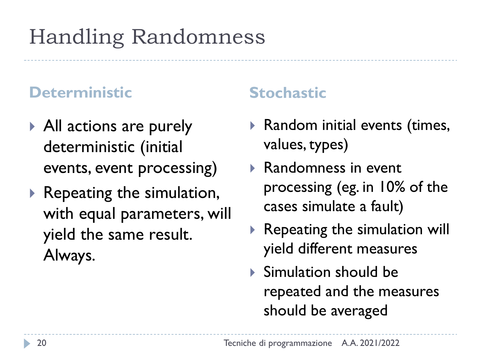## Handling Randomness

#### **Deterministic Stochastic**

- ▶ All actions are purely deterministic (initial events, event processing)
- $\blacktriangleright$  Repeating the simulation, with equal parameters, will yield the same result. Always.

- $\blacktriangleright$  Random initial events (times, values, types)
- ▶ Randomness in event processing (eg. in 10% of the cases simulate a fault)
- $\blacktriangleright$  Repeating the simulation will yield different measures
- Simulation should be repeated and the measures should be averaged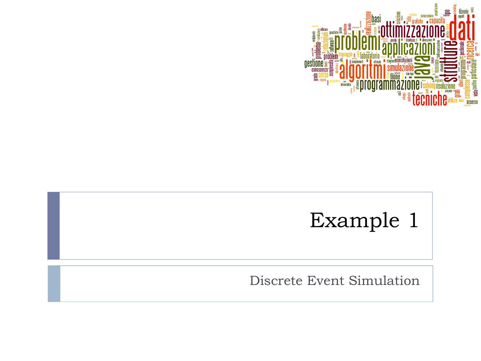

## Example 1

Discrete Event Simulation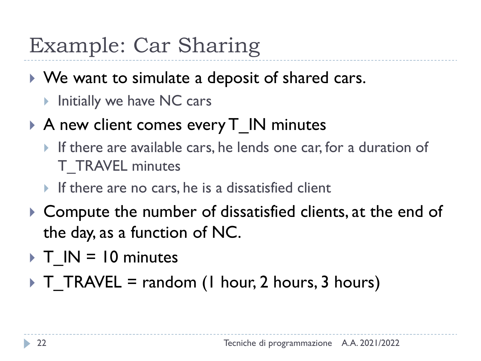## Example: Car Sharing

- ▶ We want to simulate a deposit of shared cars.
	- ▶ Initially we have NC cars
- A new client comes every T IN minutes
	- If there are available cars, he lends one car, for a duration of T\_TRAVEL minutes
	- If there are no cars, he is a dissatisfied client
- ▶ Compute the number of dissatisfied clients, at the end of the day, as a function of NC.
- $\triangleright$  T IN = 10 minutes
- $\triangleright$  T\_TRAVEL = random (1 hour, 2 hours, 3 hours)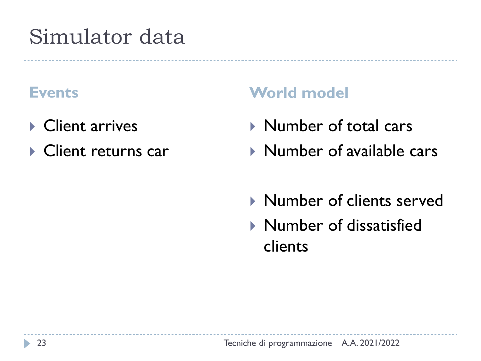## Simulator data

- **▶ Client arrives**
- ▶ Client returns car

#### **Events World model**

- ▶ Number of total cars
- ▶ Number of available cars
- **Number of clients served**
- ▶ Number of dissatisfied clients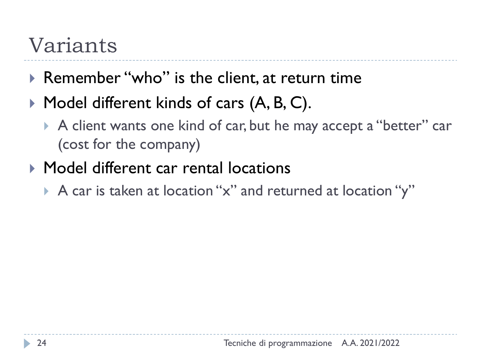## Variants

- ▶ Remember "who" is the client, at return time
- $\blacktriangleright$  Model different kinds of cars  $(A, B, C)$ .
	- A client wants one kind of car, but he may accept a "better" car (cost for the company)
- ▶ Model different car rental locations
	- A car is taken at location "x" and returned at location "y"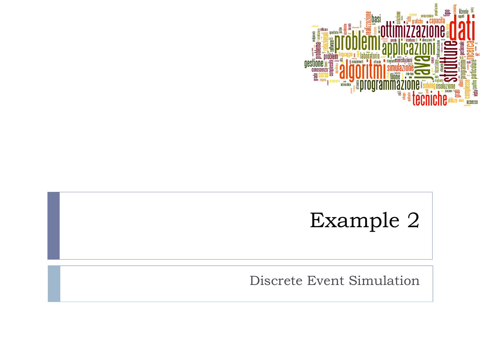

# Example 2

Discrete Event Simulation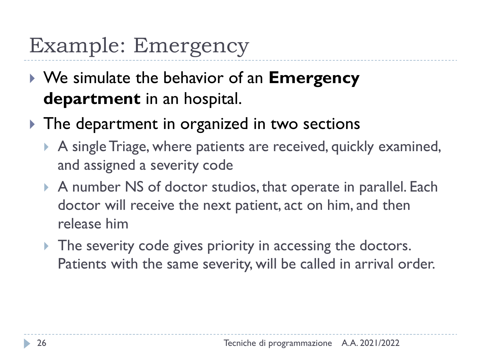## Example: Emergency

- We simulate the behavior of an **Emergency department** in an hospital.
- The department in organized in two sections
	- A single Triage, where patients are received, quickly examined, and assigned a severity code
	- A number NS of doctor studios, that operate in parallel. Each doctor will receive the next patient, act on him, and then release him
	- The severity code gives priority in accessing the doctors. Patients with the same severity, will be called in arrival order.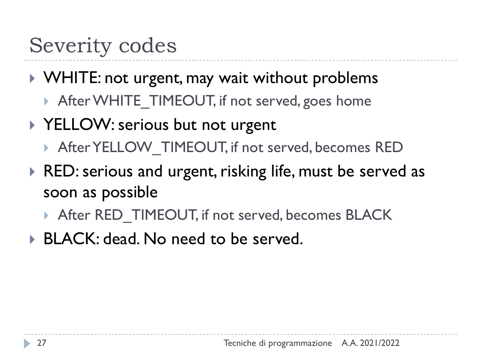## Severity codes

### ▶ WHITE: not urgent, may wait without problems

After WHITE TIMEOUT, if not served, goes home

### ▶ YELLOW: serious but not urgent

- After YELLOW TIMEOUT, if not served, becomes RED
- ▶ RED: serious and urgent, risking life, must be served as soon as possible
	- After RED\_TIMEOUT, if not served, becomes BLACK
- ▶ BLACK: dead. No need to be served.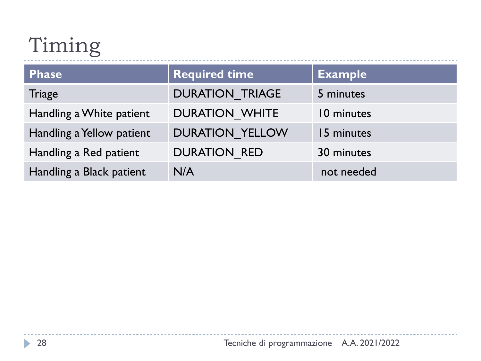# Timing

| Phase                     | <b>Required time</b>   | <b>Example</b> |
|---------------------------|------------------------|----------------|
| <b>Triage</b>             | <b>DURATION TRIAGE</b> | 5 minutes      |
| Handling a White patient  | <b>DURATION WHITE</b>  | 10 minutes     |
| Handling a Yellow patient | <b>DURATION YELLOW</b> | 15 minutes     |
| Handling a Red patient    | <b>DURATION RED</b>    | 30 minutes     |
| Handling a Black patient  | N/A                    | not needed     |

 $\blacktriangleright$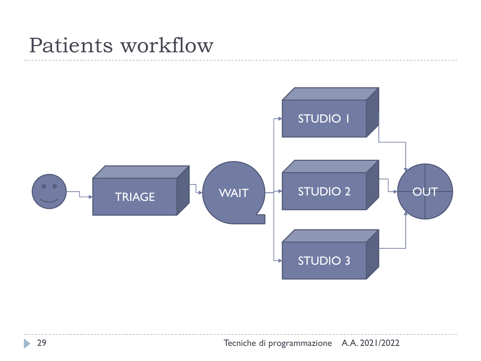## Patients workflow



Ь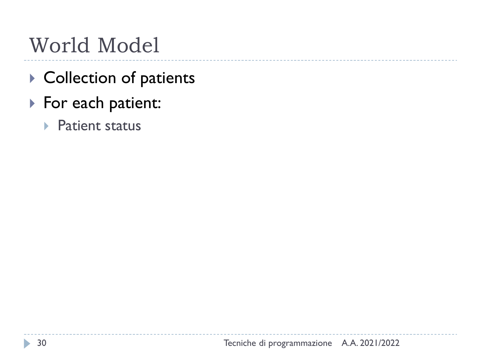## World Model

- ▶ Collection of patients
- ▶ For each patient:
	- ▶ Patient status

b,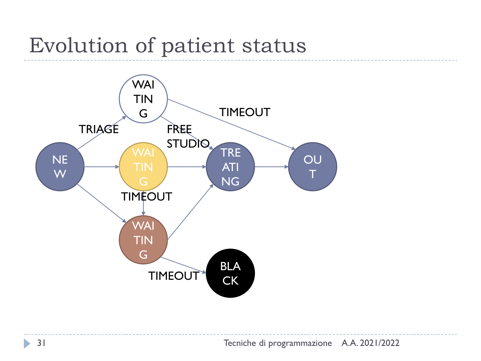## Evolution of patient status

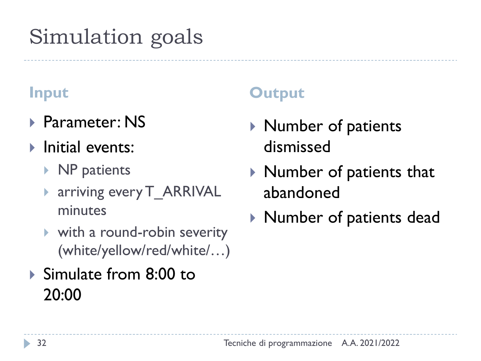## Simulation goals

- ▶ Parameter: NS
- **Initial events:** 
	- ▶ NP patients
	- ▶ arriving every T\_ARRIVAL minutes
	- with a round-robin severity (white/yellow/red/white/…)
- ▶ Simulate from 8:00 to 20:00

### **Input Output**

- ▶ Number of patients dismissed
- $\blacktriangleright$  Number of patients that abandoned
- Number of patients dead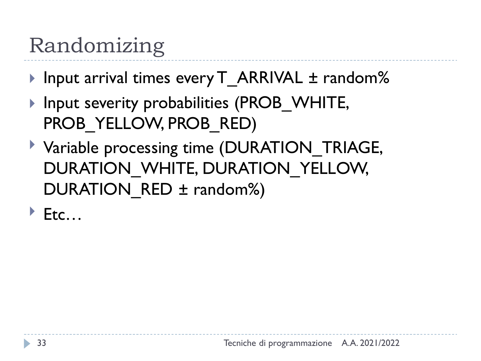## Randomizing

- ▶ Input arrival times every T\_ARRIVAL ± random%
- ▶ Input severity probabilities (PROB WHITE, PROB\_YELLOW, PROB\_RED)
- Variable processing time (DURATION\_TRIAGE, DURATION WHITE, DURATION YELLOW, DURATION RED ± random%)
- $\blacktriangleright$  Etc...